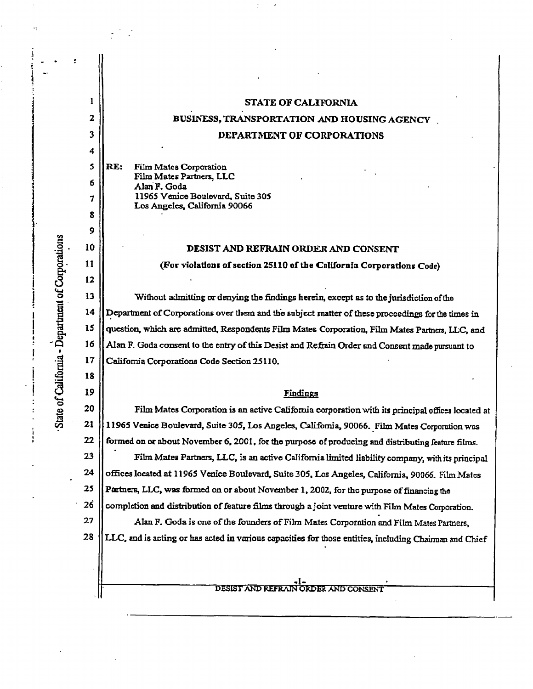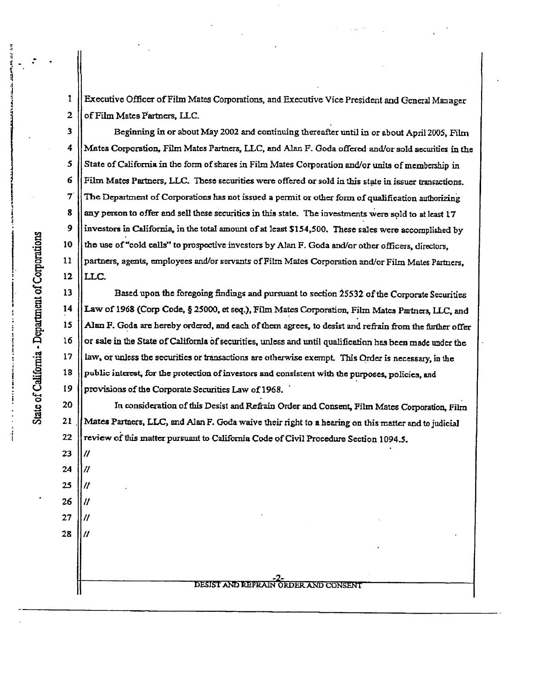1 Executive Officer of Film Mates Corporations, and Executive Vice President and General Manager  $\overline{2}$ of Film Mates Partners, LLC.

Beginning in or about May 2002 and continuing thereafter until in or about April 2005, Film 3  $\overline{4}$ Mates Corporation, Film Mates Partners, LLC, and Alan F. Goda offered and/or sold securities in the State of California in the form of shares in Film Mates Corporation and/or units of membership in uA Film Mates Partners, LLC. These securities were offered or sold in this state in issuer transactions.  $\overline{\mathbf{7}}$ The Department of Corporations has not issued a permit or other form of qualification authorizing 8 any person to offer and sell these securities in this state. The investments were sold to at least 17 investors in California, in the total amount of at least \$154,500. These sales were accomplished by 9 the use of "cold calls" to prospective investors by Alan F. Goda and/or other officers, directors, 10  $11$ partners, agents, employees and/or servants of Film Mates Corporation and/or Film Mates Partners,  $12 \,$ LLC.

Based upon the foregoing findings and pursuant to section 25532 of the Corporate Securities Law of 1968 (Corp Code, § 25000, et seq.), Film Mates Corporation, Film Mates Partners, LLC, and  $14$ Alan F. Goda are hereby ordered, and each of them agrees, to desist and refrain from the further offer 15  $16$ or sale in the State of California of securities, unless and until qualification has been made under the 17 law, or unless the securities or transactions are otherwise exempt. This Order is necessary, in the 18 public interest, for the protection of investors and consistent with the purposes, policies, and 19 provisions of the Corporate Securities Law of 1968.

In consideration of this Desist and Refrain Order and Consent, Film Mates Corporation, Film 20  $\overline{O}$  21 || Mates Partners, LLC, and Alan F. Goda waive their right to a hearing on this matter and to judicial 22 review of this matter pursuant to California Code of Civil Procedure Section 1094.5.

-2- DESIST AND REFRAIN ORDER AND CONSENT

 $13$ 

l..

11

H

11

 $\prime\prime$ 

 $\prime$ 

23

24

25 26

 $27$ 

28